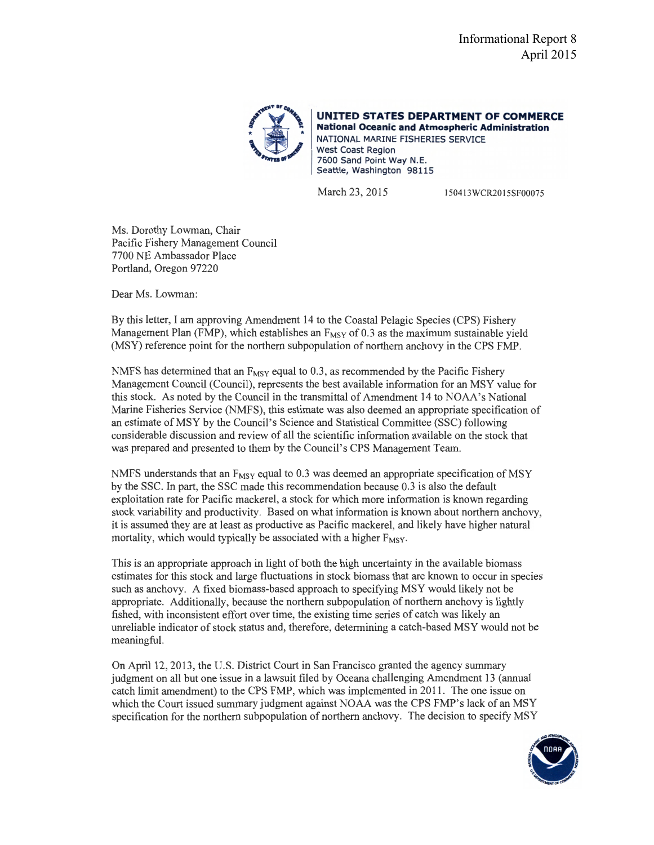

**UNITED STATES DEPARTMENT OF COMMERCE National Oceanic and Atmospheric Administration**  NATIONAL MARINE FISHERIES SERVICE West Coast Region 7600 Sand Point Way N.E. Seattle, Washington 98115

March 23, 2015 150413WCR2015SF00075

Ms. Dorothy Lowman, Chair Pacific Fishery Management Council 7700 NE Ambassador Place Portland, Oregon 97220

Dear Ms. Lowman:

By this letter, I am approving Amendment 14 to the Coastal Pelagic Species (CPS) Fishery Management Plan (FMP), which establishes an  $F_{MSY}$  of 0.3 as the maximum sustainable yield (MSY) reference point for the northern subpopulation of northern anchovy in the CPS FMP.

NMFS has determined that an  $F_{MSY}$  equal to 0.3, as recommended by the Pacific Fishery Management Council (Council), represents the best available information for an MSY value for this stock. As noted by the Council in the transmittal of Amendment 14 to NOAA's National Marine Fisheries Service (NMFS), this estimate was also deemed an appropriate specification of an estimate ofMSY by the Council's Science and Statistical Committee (SSC) following considerable discussion and review of all the scientific information available on the stock that was prepared and presented to them by the Council's CPS Management Team.

NMFS understands that an  $F_{MSY}$  equal to 0.3 was deemed an appropriate specification of MSY by the sse. In part, the sse made this recommendation because 0.3 is also the default exploitation rate for Pacific mackerel, a stock for which more information is known regarding stock variability and productivity. Based on what information is known about northern anchovy, it is assumed they are at least as productive as Pacific mackerel, and likely have higher natural mortality, which would typically be associated with a higher  $F_{MSY}$ .

This is an appropriate approach in light of both the high uncertainty in the available biomass estimates for this stock and large fluctuations in stock biomass that are known to occur in species such as anchovy. A fixed biomass-based approach to specifying MSY would likely not be appropriate. Additionally, because the northern subpopulation of northern anchovy is lightly fished, with inconsistent effort over time, the existing time series of catch was likely an unreliable indicator of stock status and, therefore, determining a catch-based MSY would not be meaningful.

On April 12, 2013, the U.S. District Court in San Francisco granted the agency summary judgment on all but one issue in a lawsuit filed by Oceana challenging Amendment 13 (annual catch limit amendment) to the CPS FMP, which was implemented in 2011. The one issue on which the Court issued summary judgment against NOAA was the CPS FMP's lack of an MSY specification for the northern subpopulation of northern anchovy. The decision to specify MSY